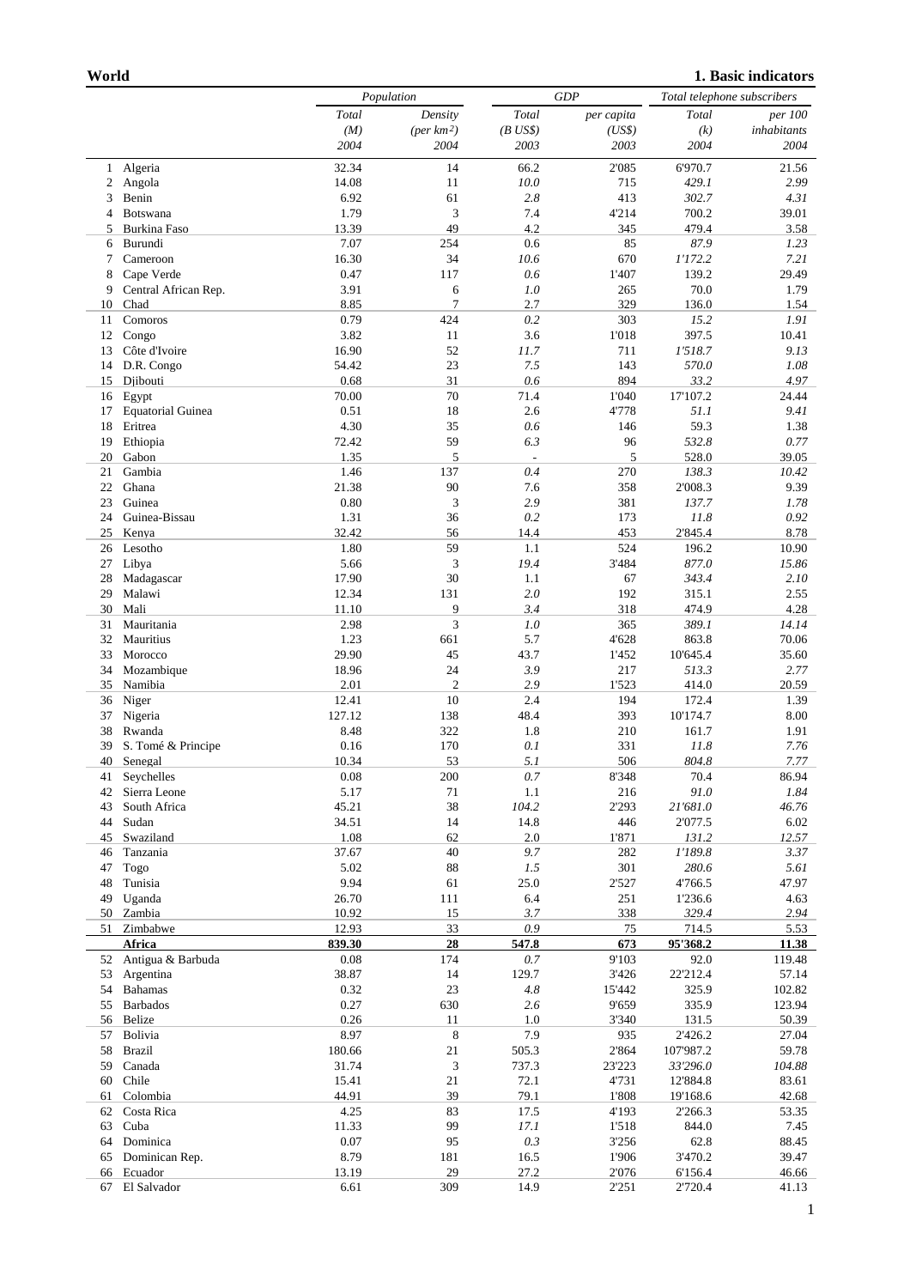```
1. Basic indicators
```

|          |                             | Population         |                      | GDP                             |              | Total telephone subscribers |                 |
|----------|-----------------------------|--------------------|----------------------|---------------------------------|--------------|-----------------------------|-----------------|
|          |                             | Total              | Density              | Total                           | per capita   | Total                       | per 100         |
|          |                             | (M)                | $(\text{per km2})$   | $(B$ US\$)                      | (US\$)       | (k)                         | inhabitants     |
|          |                             | 2004               | 2004                 | 2003                            | 2003         | 2004                        | 2004            |
| 1        | Algeria                     | 32.34              | 14                   | 66.2                            | 2'085        | 6'970.7                     | 21.56           |
| 2        | Angola                      | 14.08              | 11                   | 10.0                            | 715          | 429.1                       | 2.99            |
| 3<br>4   | Benin<br>Botswana           | 6.92<br>1.79       | 61<br>3              | 2.8<br>7.4                      | 413<br>4'214 | 302.7<br>700.2              | 4.31<br>39.01   |
| 5        | <b>Burkina Faso</b>         | 13.39              | 49                   | 4.2                             | 345          | 479.4                       | 3.58            |
| 6        | Burundi                     | 7.07               | 254                  | 0.6                             | 85           | 87.9                        | 1.23            |
| 7        | Cameroon                    | 16.30              | 34                   | 10.6                            | 670          | 1'172.2                     | 7.21            |
| 8        | Cape Verde                  | 0.47               | 117                  | 0.6                             | 1'407        | 139.2                       | 29.49           |
| 9        | Central African Rep.        | 3.91               | 6                    | 1.0                             | 265          | 70.0                        | 1.79            |
| 10       | Chad                        | 8.85               | $\overline{7}$       | 2.7                             | 329          | 136.0                       | 1.54            |
| 11       | Comoros                     | 0.79               | 424                  | $0.2\,$                         | 303          | 15.2                        | 1.91            |
| 12       | Congo                       | 3.82               | 11                   | 3.6                             | 1'018        | 397.5                       | 10.41           |
| 13       | Côte d'Ivoire               | 16.90              | 52                   | 11.7                            | 711          | 1'518.7                     | 9.13            |
| 14       | D.R. Congo                  | 54.42              | 23                   | 7.5                             | 143          | 570.0                       | 1.08            |
| 15       | Djibouti                    | 0.68               | 31                   | 0.6                             | 894          | 33.2                        | 4.97            |
| 16       | Egypt                       | 70.00              | 70                   | 71.4                            | 1'040        | 17'107.2                    | 24.44           |
| 17       | <b>Equatorial Guinea</b>    | 0.51               | 18                   | 2.6                             | 4'778        | 51.1                        | 9.41            |
| 18       | Eritrea                     | 4.30               | 35                   | 0.6                             | 146          | 59.3                        | 1.38            |
| 19<br>20 | Ethiopia<br>Gabon           | 72.42<br>1.35      | 59<br>5              | 6.3<br>$\overline{\phantom{a}}$ | 96<br>5      | 532.8<br>528.0              | 0.77<br>39.05   |
| 21       | Gambia                      | 1.46               | 137                  | 0.4                             | 270          | 138.3                       | 10.42           |
| 22       | Ghana                       | 21.38              | 90                   | 7.6                             | 358          | 2'008.3                     | 9.39            |
| 23       | Guinea                      | 0.80               | 3                    | 2.9                             | 381          | 137.7                       | 1.78            |
| 24       | Guinea-Bissau               | 1.31               | 36                   | 0.2                             | 173          | 11.8                        | 0.92            |
| 25       | Kenya                       | 32.42              | 56                   | 14.4                            | 453          | 2'845.4                     | 8.78            |
| 26       | Lesotho                     | 1.80               | 59                   | 1.1                             | 524          | 196.2                       | 10.90           |
| 27       | Libya                       | 5.66               | 3                    | 19.4                            | 3'484        | 877.0                       | 15.86           |
| 28       | Madagascar                  | 17.90              | 30                   | 1.1                             | 67           | 343.4                       | 2.10            |
| 29       | Malawi                      | 12.34              | 131                  | 2.0                             | 192          | 315.1                       | 2.55            |
| 30       | Mali                        | 11.10              | 9                    | 3.4                             | 318          | 474.9                       | 4.28            |
| 31       | Mauritania                  | 2.98               | 3                    | 1.0                             | 365          | 389.1                       | 14.14           |
| 32       | Mauritius                   | 1.23               | 661                  | 5.7                             | 4'628        | 863.8                       | 70.06           |
| 33       | Morocco                     | 29.90              | 45                   | 43.7                            | 1'452        | 10'645.4                    | 35.60           |
| 34       | Mozambique                  | 18.96              | 24                   | 3.9<br>2.9                      | 217          | 513.3                       | 2.77            |
| 35       | Namibia                     | 2.01<br>12.41      | $\overline{2}$<br>10 | 2.4                             | 1'523<br>194 | 414.0<br>172.4              | 20.59<br>1.39   |
| 36<br>37 | Niger<br>Nigeria            | 127.12             | 138                  | 48.4                            | 393          | 10'174.7                    | 8.00            |
| 38       | Rwanda                      | 8.48               | 322                  | 1.8                             | 210          | 161.7                       | 1.91            |
| 39       | S. Tomé & Principe          | 0.16               | 170                  | 0.1                             | 331          | 11.8                        | 7.76            |
|          | 40 Senegal                  | 10.34              | 53                   | 5.1                             | 506          | 804.8                       | 7.77            |
|          | 41 Seychelles               | 0.08               | $200\,$              | $0.7\,$                         | 8'348        | 70.4                        | 86.94           |
| 42       | Sierra Leone                | 5.17               | 71                   | 1.1                             | 216          | 91.0                        | 1.84            |
| 43       | South Africa                | 45.21              | 38                   | 104.2                           | 2'293        | 21'681.0                    | 46.76           |
| 44       | Sudan                       | 34.51              | 14                   | 14.8                            | 446          | 2'077.5                     | 6.02            |
| 45       | Swaziland                   | 1.08               | 62                   | 2.0                             | 1'871        | 131.2                       | 12.57           |
| 46       | Tanzania                    | 37.67              | 40                   | 9.7                             | 282          | 1'189.8                     | 3.37            |
| 47       | Togo                        | 5.02               | 88                   | 1.5                             | 301          | 280.6                       | 5.61            |
| 48       | Tunisia                     | 9.94               | 61                   | 25.0                            | 2'527        | 4'766.5                     | 47.97           |
| 49       | Uganda                      | 26.70              | 111                  | 6.4                             | 251          | 1'236.6                     | 4.63            |
| 50       | Zambia                      | 10.92              | 15                   | 3.7                             | 338          | 329.4                       | 2.94            |
| 51       | Zimbabwe                    | 12.93              | 33                   | 0.9                             | 75           | 714.5                       | 5.53            |
| 52       | Africa<br>Antigua & Barbuda | 839.30<br>$0.08\,$ | 28<br>174            | 547.8<br>0.7                    | 673<br>9'103 | 95'368.2<br>92.0            | 11.38<br>119.48 |
| 53       | Argentina                   | 38.87              | 14                   | 129.7                           | 3'426        | 22'212.4                    | 57.14           |
| 54       | <b>Bahamas</b>              | 0.32               | 23                   | $4.8\,$                         | 15'442       | 325.9                       | 102.82          |
| 55       | <b>Barbados</b>             | 0.27               | 630                  | 2.6                             | 9'659        | 335.9                       | 123.94          |
| 56       | Belize                      | 0.26               | 11                   | 1.0                             | 3'340        | 131.5                       | 50.39           |
| 57       | Bolivia                     | 8.97               | 8                    | 7.9                             | 935          | 2'426.2                     | 27.04           |
| 58       | <b>Brazil</b>               | 180.66             | 21                   | 505.3                           | 2'864        | 107'987.2                   | 59.78           |
| 59       | Canada                      | 31.74              | 3                    | 737.3                           | 23'223       | 33'296.0                    | 104.88          |
| 60       | Chile                       | 15.41              | 21                   | 72.1                            | 4'731        | 12'884.8                    | 83.61           |
| 61       | Colombia                    | 44.91              | 39                   | 79.1                            | 1'808        | 19'168.6                    | 42.68           |
| 62       | Costa Rica                  | 4.25               | 83                   | 17.5                            | 4'193        | 2'266.3                     | 53.35           |
| 63       | Cuba                        | 11.33              | 99                   | 17.1                            | 1'518        | 844.0                       | 7.45            |
| 64       | Dominica                    | 0.07               | 95                   | 0.3                             | 3'256        | 62.8                        | 88.45           |
| 65       | Dominican Rep.              | 8.79               | 181                  | 16.5                            | 1'906        | 3'470.2                     | 39.47           |
| 66       | Ecuador                     | 13.19              | 29                   | 27.2                            | 2'076        | 6'156.4                     | 46.66           |
|          | 67 El Salvador              | 6.61               | 309                  | 14.9                            | 2'251        | 2'720.4                     | 41.13           |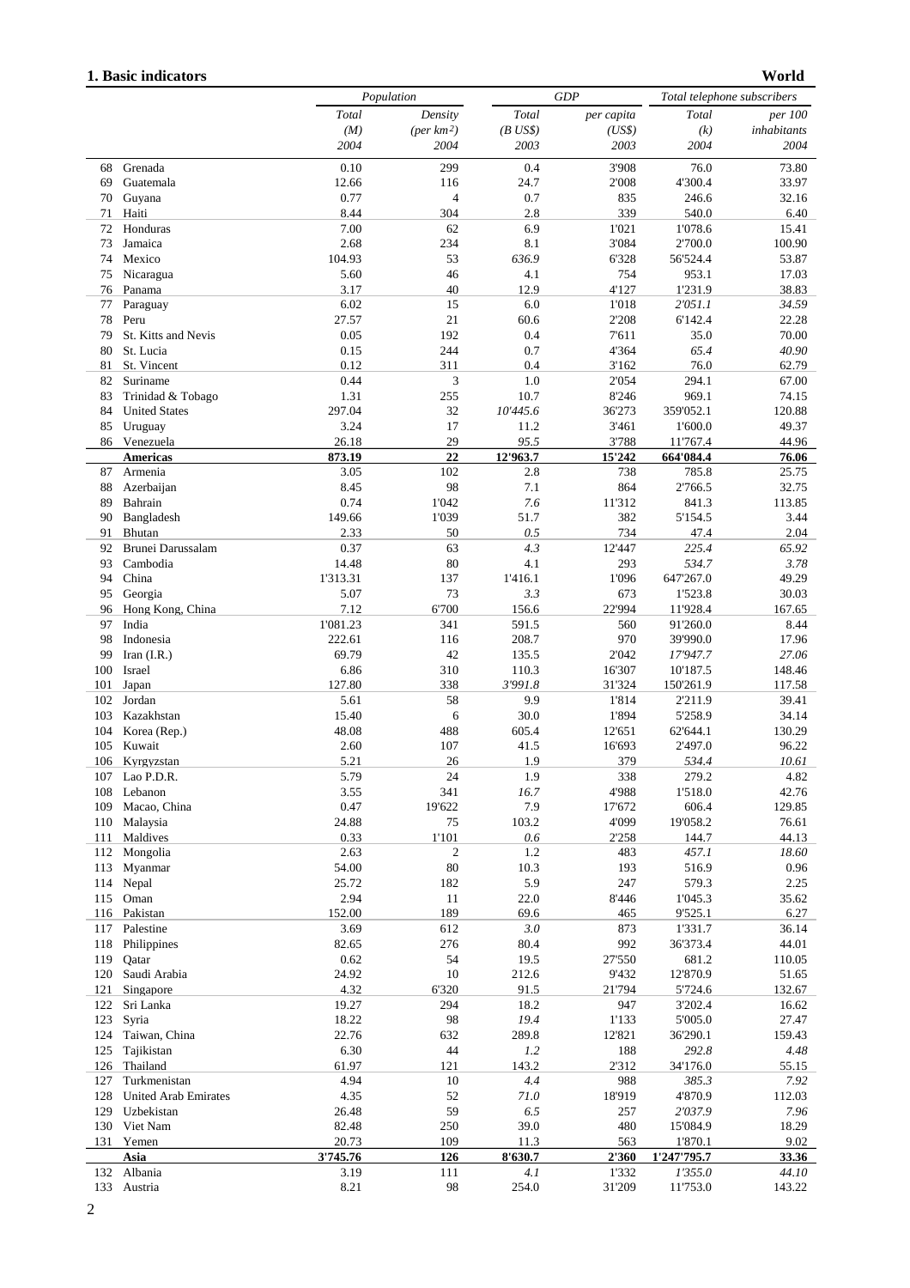## **1. Basic indicators**

**World**

|            |                                  | Population     |                    |                  | GDP              |                       | Total telephone subscribers |  |
|------------|----------------------------------|----------------|--------------------|------------------|------------------|-----------------------|-----------------------------|--|
|            |                                  | Total          | Density            | Total            | per capita       | Total                 | per 100                     |  |
|            |                                  | (M)            | $(\text{per km2})$ | $(B$ US\$)       | (US\$)           | (k)                   | inhabitants                 |  |
|            |                                  | 2004           | 2004               | 2003             | 2003             | 2004                  | 2004                        |  |
| 68         | Grenada                          | 0.10           | 299                | 0.4              | 3'908            | 76.0                  | 73.80                       |  |
| 69         | Guatemala                        | 12.66          | 116                | 24.7             | 2'008            | 4'300.4               | 33.97                       |  |
| 70         | Guyana                           | 0.77           | 4                  | 0.7              | 835              | 246.6                 | 32.16                       |  |
| 71         | Haiti                            | 8.44           | 304                | 2.8              | 339              | 540.0                 | 6.40                        |  |
| 72         | Honduras                         | 7.00           | 62                 | 6.9              | 1'021            | 1'078.6               | 15.41                       |  |
| 73         | Jamaica                          | 2.68           | 234                | 8.1              | 3'084            | 2'700.0               | 100.90                      |  |
| 74         | Mexico                           | 104.93         | 53                 | 636.9            | 6'328            | 56'524.4              | 53.87                       |  |
| 75         | Nicaragua                        | 5.60           | 46                 | 4.1              | 754              | 953.1                 | 17.03                       |  |
| 76         | Panama                           | 3.17           | 40                 | 12.9             | 4'127            | 1'231.9               | 38.83                       |  |
| 77         | Paraguay                         | 6.02           | 15                 | 6.0              | 1'018            | 2'051.1               | 34.59                       |  |
| 78         | Peru                             | 27.57<br>0.05  | 21<br>192          | 60.6<br>0.4      | 2'208            | 6'142.4<br>35.0       | 22.28<br>70.00              |  |
| 79<br>80   | St. Kitts and Nevis<br>St. Lucia | 0.15           | 244                | 0.7              | 7'611<br>4'364   | 65.4                  | 40.90                       |  |
| 81         | St. Vincent                      | 0.12           | 311                | 0.4              | 3'162            | 76.0                  | 62.79                       |  |
| 82         | Suriname                         | 0.44           | 3                  | 1.0              | 2'054            | 294.1                 | 67.00                       |  |
| 83         | Trinidad & Tobago                | 1.31           | 255                | 10.7             | 8'246            | 969.1                 | 74.15                       |  |
| 84         | <b>United States</b>             | 297.04         | 32                 | 10'445.6         | 36'273           | 359'052.1             | 120.88                      |  |
| 85         | Uruguay                          | 3.24           | 17                 | 11.2             | 3'461            | 1'600.0               | 49.37                       |  |
|            | 86 Venezuela                     | 26.18          | 29                 | 95.5             | 3'788            | 11'767.4              | 44.96                       |  |
|            | <b>Americas</b>                  | 873.19         | 22                 | 12'963.7         | 15'242           | 664'084.4             | 76.06                       |  |
| 87         | Armenia                          | 3.05           | 102                | 2.8              | 738              | 785.8                 | 25.75                       |  |
| 88         | Azerbaijan                       | 8.45           | 98                 | 7.1              | 864              | 2'766.5               | 32.75                       |  |
| 89         | Bahrain                          | 0.74           | 1'042              | 7.6              | 11'312           | 841.3                 | 113.85                      |  |
| 90         | Bangladesh                       | 149.66         | 1'039              | 51.7             | 382              | 5'154.5               | 3.44                        |  |
| 91         | Bhutan                           | 2.33           | 50                 | 0.5              | 734              | 47.4                  | 2.04                        |  |
| 92         | Brunei Darussalam                | 0.37           | 63                 | 4.3              | 12'447           | 225.4                 | 65.92                       |  |
| 93         | Cambodia                         | 14.48          | 80                 | 4.1              | 293              | 534.7                 | 3.78                        |  |
| 94         | China                            | 1'313.31       | 137                | 1'416.1          | 1'096            | 647'267.0             | 49.29                       |  |
| 95         | Georgia                          | 5.07           | 73                 | 3.3              | 673              | 1'523.8               | 30.03                       |  |
| 96         | Hong Kong, China                 | 7.12           | 6'700              | 156.6            | 22'994           | 11'928.4              | 167.65                      |  |
| 97         | India                            | 1'081.23       | 341                | 591.5            | 560              | 91'260.0              | 8.44                        |  |
| 98         | Indonesia                        | 222.61         | 116                | 208.7            | 970              | 39'990.0              | 17.96                       |  |
| 99         | Iran $(I.R.)$                    | 69.79          | 42                 | 135.5            | 2'042            | 17'947.7              | 27.06                       |  |
| 100<br>101 | Israel<br>Japan                  | 6.86<br>127.80 | 310<br>338         | 110.3<br>3'991.8 | 16'307<br>31'324 | 10'187.5<br>150'261.9 | 148.46<br>117.58            |  |
| 102        | Jordan                           | 5.61           | 58                 | 9.9              | 1'814            | 2'211.9               | 39.41                       |  |
| 103        | Kazakhstan                       | 15.40          | 6                  | 30.0             | 1'894            | 5'258.9               | 34.14                       |  |
| 104        | Korea (Rep.)                     | 48.08          | 488                | 605.4            | 12'651           | 62'644.1              | 130.29                      |  |
| 105        | Kuwait                           | 2.60           | 107                | 41.5             | 16'693           | 2'497.0               | 96.22                       |  |
| 106        | Kyrgyzstan                       | 5.21           | 26                 | 1.9              | 379              | 534.4                 | 10.61                       |  |
|            | 107 Lao P.D.R.                   | 5.79           | 24                 | 1.9              | 338              | 279.2                 | 4.82                        |  |
| 108        | Lebanon                          | 3.55           | 341                | 16.7             | 4'988            | 1'518.0               | 42.76                       |  |
| 109        | Macao, China                     | 0.47           | 19'622             | 7.9              | 17'672           | 606.4                 | 129.85                      |  |
| 110        | Malaysia                         | 24.88          | 75                 | 103.2            | 4'099            | 19'058.2              | 76.61                       |  |
| 111        | Maldives                         | 0.33           | 1'101              | 0.6              | 2'258            | 144.7                 | 44.13                       |  |
| 112        | Mongolia                         | 2.63           | $\overline{c}$     | 1.2              | 483              | 457.1                 | 18.60                       |  |
| 113        | Myanmar                          | 54.00          | 80                 | 10.3             | 193              | 516.9                 | 0.96                        |  |
| 114        | Nepal                            | 25.72          | 182                | 5.9              | 247              | 579.3                 | 2.25                        |  |
| 115        | Oman                             | 2.94           | 11                 | 22.0             | 8'446            | 1'045.3               | 35.62                       |  |
|            | 116 Pakistan                     | 152.00         | 189                | 69.6             | 465              | 9'525.1               | 6.27                        |  |
| 117        | Palestine                        | 3.69           | 612                | 3.0              | 873              | 1'331.7               | 36.14                       |  |
| 118        | Philippines                      | 82.65          | 276                | 80.4             | 992              | 36'373.4              | 44.01                       |  |
| 119        | Qatar                            | 0.62           | 54                 | 19.5             | 27'550           | 681.2                 | 110.05                      |  |
| 120<br>121 | Saudi Arabia<br>Singapore        | 24.92<br>4.32  | 10<br>6'320        | 212.6<br>91.5    | 9'432<br>21'794  | 12'870.9<br>5'724.6   | 51.65<br>132.67             |  |
| 122        | Sri Lanka                        | 19.27          | 294                | 18.2             | 947              | 3'202.4               | 16.62                       |  |
| 123        | Syria                            | 18.22          | 98                 | 19.4             | 1'133            | 5'005.0               | 27.47                       |  |
| 124        | Taiwan, China                    | 22.76          | 632                | 289.8            | 12'821           | 36'290.1              | 159.43                      |  |
| 125        | Tajikistan                       | 6.30           | 44                 | 1.2              | 188              | 292.8                 | 4.48                        |  |
| 126        | Thailand                         | 61.97          | 121                | 143.2            | 2'312            | 34'176.0              | 55.15                       |  |
| 127        | Turkmenistan                     | 4.94           | 10                 | 4.4              | 988              | 385.3                 | 7.92                        |  |
| 128        | United Arab Emirates             | 4.35           | 52                 | 71.0             | 18'919           | 4'870.9               | 112.03                      |  |
| 129        | Uzbekistan                       | 26.48          | 59                 | 6.5              | 257              | 2'037.9               | 7.96                        |  |
| 130        | Viet Nam                         | 82.48          | 250                | 39.0             | 480              | 15'084.9              | 18.29                       |  |
| 131        | Yemen                            | 20.73          | 109                | 11.3             | 563              | 1'870.1               | 9.02                        |  |
|            | Asia                             | 3'745.76       | 126                | 8'630.7          | 2'360            | 1'247'795.7           | 33.36                       |  |
| 132        | Albania                          | 3.19           | 111                | 4.1              | 1'332            | 1'355.0               | 44.10                       |  |
|            | 133 Austria                      | 8.21           | 98                 | 254.0            | 31'209           | 11'753.0              | 143.22                      |  |